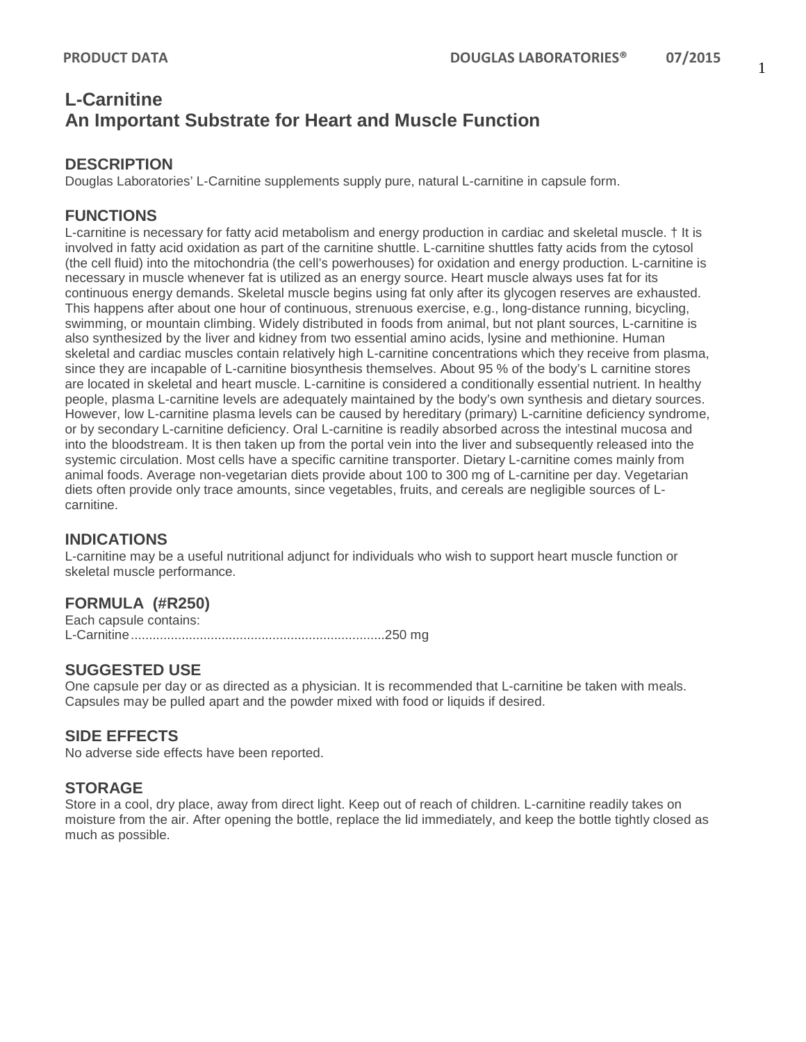# **L-Carnitine An Important Substrate for Heart and Muscle Function**

## **DESCRIPTION**

Douglas Laboratories' L-Carnitine supplements supply pure, natural L-carnitine in capsule form.

## **FUNCTIONS**

L-carnitine is necessary for fatty acid metabolism and energy production in cardiac and skeletal muscle. † It is involved in fatty acid oxidation as part of the carnitine shuttle. L-carnitine shuttles fatty acids from the cytosol (the cell fluid) into the mitochondria (the cell's powerhouses) for oxidation and energy production. L-carnitine is necessary in muscle whenever fat is utilized as an energy source. Heart muscle always uses fat for its continuous energy demands. Skeletal muscle begins using fat only after its glycogen reserves are exhausted. This happens after about one hour of continuous, strenuous exercise, e.g., long-distance running, bicycling, swimming, or mountain climbing. Widely distributed in foods from animal, but not plant sources, L-carnitine is also synthesized by the liver and kidney from two essential amino acids, lysine and methionine. Human skeletal and cardiac muscles contain relatively high L-carnitine concentrations which they receive from plasma, since they are incapable of L-carnitine biosynthesis themselves. About 95 % of the body's L carnitine stores are located in skeletal and heart muscle. L-carnitine is considered a conditionally essential nutrient. In healthy people, plasma L-carnitine levels are adequately maintained by the body's own synthesis and dietary sources. However, low L-carnitine plasma levels can be caused by hereditary (primary) L-carnitine deficiency syndrome, or by secondary L-carnitine deficiency. Oral L-carnitine is readily absorbed across the intestinal mucosa and into the bloodstream. It is then taken up from the portal vein into the liver and subsequently released into the systemic circulation. Most cells have a specific carnitine transporter. Dietary L-carnitine comes mainly from animal foods. Average non-vegetarian diets provide about 100 to 300 mg of L-carnitine per day. Vegetarian diets often provide only trace amounts, since vegetables, fruits, and cereals are negligible sources of Lcarnitine.

#### **INDICATIONS**

L-carnitine may be a useful nutritional adjunct for individuals who wish to support heart muscle function or skeletal muscle performance.

#### **FORMULA (#R250)**

Each capsule contains: L-Carnitine......................................................................250 mg

## **SUGGESTED USE**

One capsule per day or as directed as a physician. It is recommended that L-carnitine be taken with meals. Capsules may be pulled apart and the powder mixed with food or liquids if desired.

#### **SIDE EFFECTS**

No adverse side effects have been reported.

#### **STORAGE**

Store in a cool, dry place, away from direct light. Keep out of reach of children. L-carnitine readily takes on moisture from the air. After opening the bottle, replace the lid immediately, and keep the bottle tightly closed as much as possible.